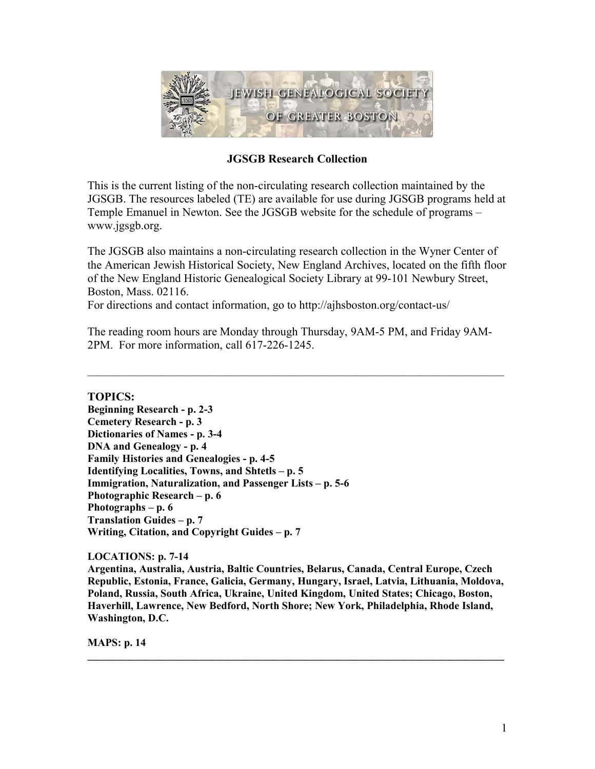

# **JGSGB Research Collection**

This is the current listing of the non-circulating research collection maintained by the JGSGB. The resources labeled (TE) are available for use during JGSGB programs held at Temple Emanuel in Newton. See the JGSGB website for the schedule of programs – www.jgsgb.org.

The JGSGB also maintains a non-circulating research collection in the Wyner Center of the American Jewish Historical Society, New England Archives, located on the fifth floor of the New England Historic Genealogical Society Library at 99-101 Newbury Street, Boston, Mass. 02116.

For directions and contact information, go to http://ajhsboston.org/contact-us/

The reading room hours are Monday through Thursday, 9AM-5 PM, and Friday 9AM-2PM. For more information, call 617-226-1245.

 $\mathcal{L}_\mathcal{L} = \{ \mathcal{L}_\mathcal{L} = \{ \mathcal{L}_\mathcal{L} = \{ \mathcal{L}_\mathcal{L} = \{ \mathcal{L}_\mathcal{L} = \{ \mathcal{L}_\mathcal{L} = \{ \mathcal{L}_\mathcal{L} = \{ \mathcal{L}_\mathcal{L} = \{ \mathcal{L}_\mathcal{L} = \{ \mathcal{L}_\mathcal{L} = \{ \mathcal{L}_\mathcal{L} = \{ \mathcal{L}_\mathcal{L} = \{ \mathcal{L}_\mathcal{L} = \{ \mathcal{L}_\mathcal{L} = \{ \mathcal{L}_\mathcal{$ 

**TOPICS:**

**Beginning Research - p. 2-3 Cemetery Research - p. 3 Dictionaries of Names - p. 3-4 DNA and Genealogy - p. 4 Family Histories and Genealogies - p. 4-5 Identifying Localities, Towns, and Shtetls – p. 5 Immigration, Naturalization, and Passenger Lists – p. 5-6 Photographic Research – p. 6 Photographs – p. 6 Translation Guides – p. 7 Writing, Citation, and Copyright Guides – p. 7**

# **LOCATIONS: p. 7-14**

**Argentina, Australia, Austria, Baltic Countries, Belarus, Canada, Central Europe, Czech Republic, Estonia, France, Galicia, Germany, Hungary, Israel, Latvia, Lithuania, Moldova, Poland, Russia, South Africa, Ukraine, United Kingdom, United States; Chicago, Boston, Haverhill, Lawrence, New Bedford, North Shore; New York, Philadelphia, Rhode Island, Washington, D.C.**

**\_\_\_\_\_\_\_\_\_\_\_\_\_\_\_\_\_\_\_\_\_\_\_\_\_\_\_\_\_\_\_\_\_\_\_\_\_\_\_\_\_\_\_\_\_\_\_\_\_\_\_\_\_\_\_\_\_\_\_\_\_\_\_\_\_\_\_\_\_\_\_\_\_\_\_\_\_\_**

**MAPS: p. 14**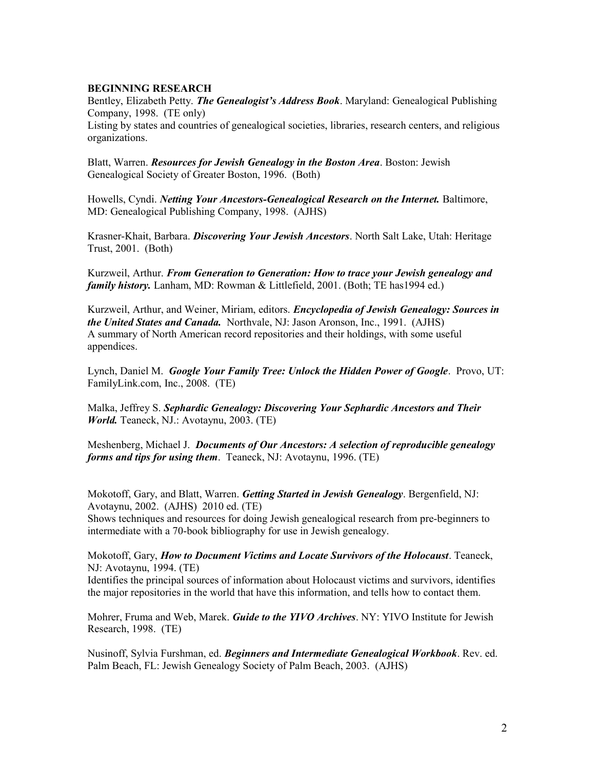#### **BEGINNING RESEARCH**

Bentley, Elizabeth Petty. *The Genealogist's Address Book*. Maryland: Genealogical Publishing Company, 1998. (TE only) Listing by states and countries of genealogical societies, libraries, research centers, and religious organizations.

Blatt, Warren. *Resources for Jewish Genealogy in the Boston Area*. Boston: Jewish Genealogical Society of Greater Boston, 1996. (Both)

Howells, Cyndi. *Netting Your Ancestors-Genealogical Research on the Internet.* Baltimore, MD: Genealogical Publishing Company, 1998. (AJHS)

Krasner-Khait, Barbara. *Discovering Your Jewish Ancestors*. North Salt Lake, Utah: Heritage Trust, 2001. (Both)

Kurzweil, Arthur. *From Generation to Generation: How to trace your Jewish genealogy and family history.* Lanham, MD: Rowman & Littlefield, 2001. (Both; TE has1994 ed.)

Kurzweil, Arthur, and Weiner, Miriam, editors. *Encyclopedia of Jewish Genealogy: Sources in the United States and Canada.* Northvale, NJ: Jason Aronson, Inc., 1991. (AJHS) A summary of North American record repositories and their holdings, with some useful appendices.

Lynch, Daniel M.*Google Your Family Tree: Unlock the Hidden Power of Google*. Provo, UT: FamilyLink.com, Inc., 2008. (TE)

Malka, Jeffrey S. *Sephardic Genealogy: Discovering Your Sephardic Ancestors and Their World.* Teaneck, NJ.: Avotaynu, 2003. (TE)

Meshenberg, Michael J. *Documents of Our Ancestors: A selection of reproducible genealogy forms and tips for using them*. Teaneck, NJ: Avotaynu, 1996. (TE)

Mokotoff, Gary, and Blatt, Warren. *Getting Started in Jewish Genealogy*. Bergenfield, NJ: Avotaynu, 2002. (AJHS) 2010 ed. (TE)

Shows techniques and resources for doing Jewish genealogical research from pre-beginners to intermediate with a 70-book bibliography for use in Jewish genealogy.

Mokotoff, Gary, *How to Document Victims and Locate Survivors of the Holocaust*. Teaneck, NJ: Avotaynu, 1994. (TE)

Identifies the principal sources of information about Holocaust victims and survivors, identifies the major repositories in the world that have this information, and tells how to contact them.

Mohrer, Fruma and Web, Marek. *Guide to the YIVO Archives*. NY: YIVO Institute for Jewish Research, 1998. (TE)

Nusinoff, Sylvia Furshman, ed. *Beginners and Intermediate Genealogical Workbook*. Rev. ed. Palm Beach, FL: Jewish Genealogy Society of Palm Beach, 2003. (AJHS)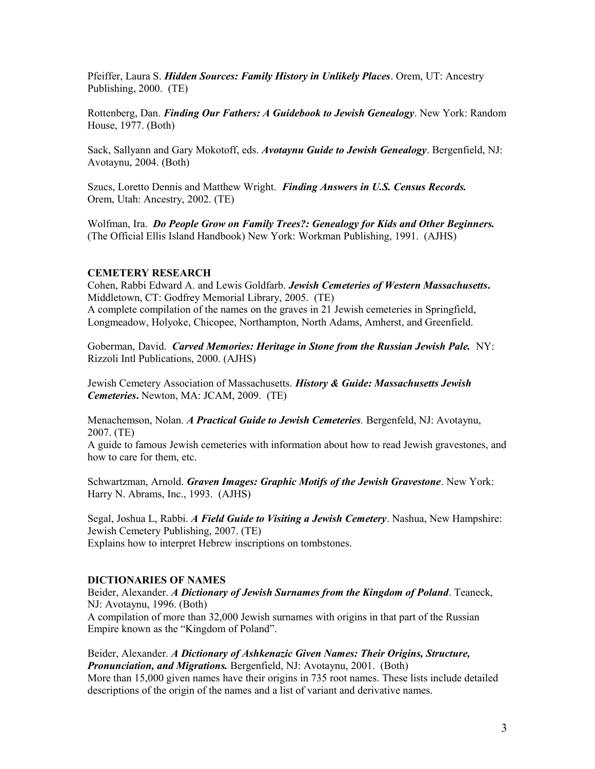Pfeiffer, Laura S. *Hidden Sources: Family History in Unlikely Places*. Orem, UT: Ancestry Publishing, 2000. (TE)

Rottenberg, Dan. *Finding Our Fathers: A Guidebook to Jewish Genealogy*. New York: Random House, 1977. (Both)

Sack, Sallyann and Gary Mokotoff, eds. *Avotaynu Guide to Jewish Genealogy*. Bergenfield, NJ: Avotaynu, 2004. (Both)

Szucs, Loretto Dennis and Matthew Wright. *Finding Answers in U.S. Census Records.* Orem, Utah: Ancestry, 2002. (TE)

Wolfman, Ira. *Do People Grow on Family Trees?: Genealogy for Kids and Other Beginners.* (The Official Ellis Island Handbook) New York: Workman Publishing, 1991. (AJHS)

#### **CEMETERY RESEARCH**

Cohen, Rabbi Edward A. and Lewis Goldfarb. *Jewish Cemeteries of Western Massachusetts***.** Middletown, CT: Godfrey Memorial Library, 2005. (TE) A complete compilation of the names on the graves in 21 Jewish cemeteries in Springfield, Longmeadow, Holyoke, Chicopee, Northampton, North Adams, Amherst, and Greenfield.

Goberman, David. *Carved Memories: Heritage in Stone from the Russian Jewish Pale.* NY: Rizzoli Intl Publications, 2000. (AJHS)

Jewish Cemetery Association of Massachusetts. *History & Guide: Massachusetts Jewish Cemeteries***.** Newton, MA: JCAM, 2009. (TE)

Menachemson, Nolan. *A Practical Guide to Jewish Cemeteries.* Bergenfeld, NJ: Avotaynu, 2007. (TE)

A guide to famous Jewish cemeteries with information about how to read Jewish gravestones, and how to care for them, etc.

Schwartzman, Arnold. *Graven Images: Graphic Motifs of the Jewish Gravestone*. New York: Harry N. Abrams, Inc., 1993. (AJHS)

Segal, Joshua L, Rabbi. *A Field Guide to Visiting a Jewish Cemetery*. Nashua, New Hampshire: Jewish Cemetery Publishing, 2007. (TE) Explains how to interpret Hebrew inscriptions on tombstones.

## **DICTIONARIES OF NAMES**

Beider, Alexander. *A Dictionary of Jewish Surnames from the Kingdom of Poland*. Teaneck, NJ: Avotaynu, 1996. (Both)

A compilation of more than 32,000 Jewish surnames with origins in that part of the Russian Empire known as the "Kingdom of Poland".

Beider, Alexander. *A Dictionary of Ashkenazic Given Names: Their Origins, Structure, Pronunciation, and Migrations.* Bergenfield, NJ: Avotaynu, 2001. (Both) More than 15,000 given names have their origins in 735 root names. These lists include detailed descriptions of the origin of the names and a list of variant and derivative names.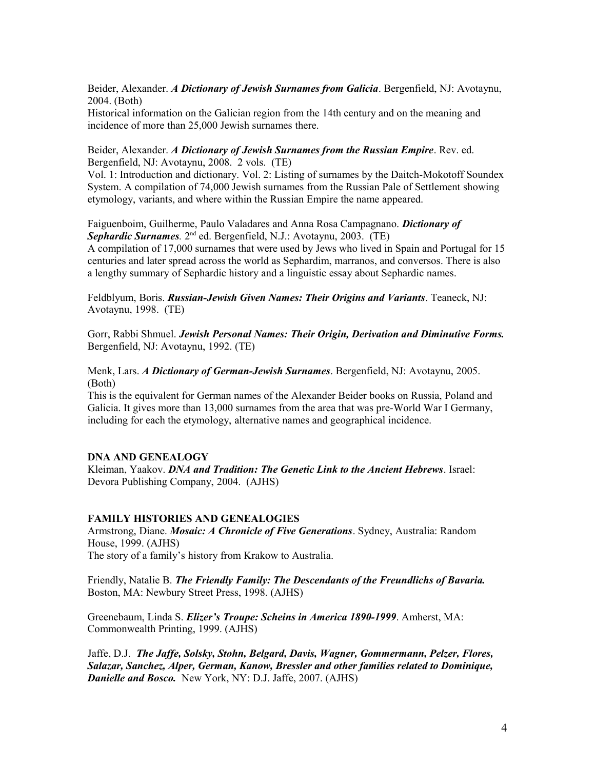Beider, Alexander. *A Dictionary of Jewish Surnames from Galicia*. Bergenfield, NJ: Avotaynu, 2004. (Both)

Historical information on the Galician region from the 14th century and on the meaning and incidence of more than 25,000 Jewish surnames there.

Beider, Alexander. *A Dictionary of Jewish Surnames from the Russian Empire*. Rev. ed. Bergenfield, NJ: Avotaynu, 2008. 2 vols. (TE)

Vol. 1: Introduction and dictionary. Vol. 2: Listing of surnames by the Daitch-Mokotoff Soundex System. A compilation of 74,000 Jewish surnames from the Russian Pale of Settlement showing etymology, variants, and where within the Russian Empire the name appeared.

Faiguenboim, Guilherme, Paulo Valadares and Anna Rosa Campagnano. *Dictionary of Sephardic Surnames.* 2nd ed. Bergenfield, N.J.: Avotaynu, 2003. (TE) A compilation of 17,000 surnames that were used by Jews who lived in Spain and Portugal for 15 centuries and later spread across the world as Sephardim, marranos, and conversos. There is also a lengthy summary of Sephardic history and a linguistic essay about Sephardic names.

Feldblyum, Boris. *Russian-Jewish Given Names: Their Origins and Variants*. Teaneck, NJ: Avotaynu, 1998. (TE)

Gorr, Rabbi Shmuel. *Jewish Personal Names: Their Origin, Derivation and Diminutive Forms.* Bergenfield, NJ: Avotaynu, 1992. (TE)

Menk, Lars. *A Dictionary of German-Jewish Surnames*. Bergenfield, NJ: Avotaynu, 2005. (Both)

This is the equivalent for German names of the Alexander Beider books on Russia, Poland and Galicia. It gives more than 13,000 surnames from the area that was pre-World War I Germany, including for each the etymology, alternative names and geographical incidence.

#### **DNA AND GENEALOGY**

Kleiman, Yaakov. *DNA and Tradition: The Genetic Link to the Ancient Hebrews*. Israel: Devora Publishing Company, 2004. (AJHS)

#### **FAMILY HISTORIES AND GENEALOGIES**

Armstrong, Diane. *Mosaic: A Chronicle of Five Generations*. Sydney, Australia: Random House, 1999. (AJHS) The story of a family's history from Krakow to Australia.

Friendly, Natalie B. *The Friendly Family: The Descendants of the Freundlichs of Bavaria.* Boston, MA: Newbury Street Press, 1998. (AJHS)

Greenebaum, Linda S. *Elizer's Troupe: Scheins in America 1890-1999*. Amherst, MA: Commonwealth Printing, 1999. (AJHS)

Jaffe, D.J. *The Jaffe, Solsky, Stohn, Belgard, Davis, Wagner, Gommermann, Pelzer, Flores, Salazar, Sanchez, Alper, German, Kanow, Bressler and other families related to Dominique, Danielle and Bosco.* New York, NY: D.J. Jaffe, 2007. (AJHS)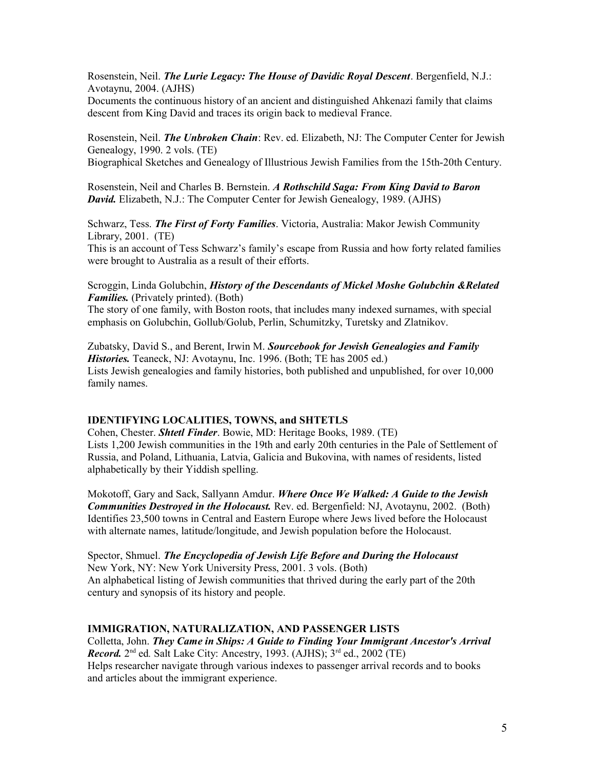Rosenstein, Neil. *The Lurie Legacy: The House of Davidic Royal Descent*. Bergenfield, N.J.: Avotaynu, 2004. (AJHS)

Documents the continuous history of an ancient and distinguished Ahkenazi family that claims descent from King David and traces its origin back to medieval France.

Rosenstein, Neil. *The Unbroken Chain*: Rev. ed. Elizabeth, NJ: The Computer Center for Jewish Genealogy, 1990. 2 vols. (TE) Biographical Sketches and Genealogy of Illustrious Jewish Families from the 15th-20th Century.

Rosenstein, Neil and Charles B. Bernstein. *A Rothschild Saga: From King David to Baron David.* Elizabeth, N.J.: The Computer Center for Jewish Genealogy, 1989. (AJHS)

Schwarz, Tess. *The First of Forty Families*. Victoria, Australia: Makor Jewish Community Library, 2001. (TE)

This is an account of Tess Schwarz's family's escape from Russia and how forty related families were brought to Australia as a result of their efforts.

Scroggin, Linda Golubchin, *History of the Descendants of Mickel Moshe Golubchin &Related Families.* (Privately printed). (Both)

The story of one family, with Boston roots, that includes many indexed surnames, with special emphasis on Golubchin, Gollub/Golub, Perlin, Schumitzky, Turetsky and Zlatnikov.

Zubatsky, David S., and Berent, Irwin M. *Sourcebook for Jewish Genealogies and Family Histories.* Teaneck, NJ: Avotaynu, Inc. 1996. (Both; TE has 2005 ed.) Lists Jewish genealogies and family histories, both published and unpublished, for over 10,000 family names.

#### **IDENTIFYING LOCALITIES, TOWNS, and SHTETLS**

Cohen, Chester. *Shtetl Finder*. Bowie, MD: Heritage Books, 1989. (TE) Lists 1,200 Jewish communities in the 19th and early 20th centuries in the Pale of Settlement of Russia, and Poland, Lithuania, Latvia, Galicia and Bukovina, with names of residents, listed alphabetically by their Yiddish spelling.

Mokotoff, Gary and Sack, Sallyann Amdur. *Where Once We Walked: A Guide to the Jewish Communities Destroyed in the Holocaust.* Rev. ed. Bergenfield: NJ, Avotaynu, 2002. (Both) Identifies 23,500 towns in Central and Eastern Europe where Jews lived before the Holocaust with alternate names, latitude/longitude, and Jewish population before the Holocaust.

Spector, Shmuel. *The Encyclopedia of Jewish Life Before and During the Holocaust* New York, NY: New York University Press, 2001. 3 vols. (Both) An alphabetical listing of Jewish communities that thrived during the early part of the 20th century and synopsis of its history and people.

#### **IMMIGRATION, NATURALIZATION, AND PASSENGER LISTS**

Colletta, John. *They Came in Ships: A Guide to Finding Your Immigrant Ancestor's Arrival* Record. 2<sup>nd</sup> ed. Salt Lake City: Ancestry, 1993. (AJHS); 3<sup>rd</sup> ed., 2002 (TE) Helps researcher navigate through various indexes to passenger arrival records and to books and articles about the immigrant experience.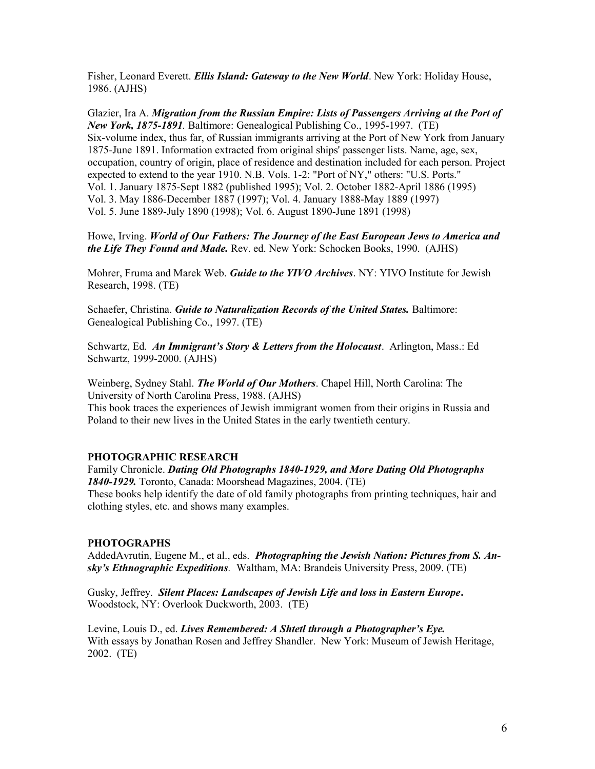Fisher, Leonard Everett. *Ellis Island: Gateway to the New World*. New York: Holiday House, 1986. (AJHS)

Glazier, Ira A. *Migration from the Russian Empire: Lists of Passengers Arriving at the Port of New York, 1875-1891.* Baltimore: Genealogical Publishing Co., 1995-1997. (TE) Six-volume index, thus far, of Russian immigrants arriving at the Port of New York from January 1875-June 1891. Information extracted from original ships' passenger lists. Name, age, sex, occupation, country of origin, place of residence and destination included for each person. Project expected to extend to the year 1910. N.B. Vols. 1-2: "Port of NY," others: "U.S. Ports." Vol. 1. January 1875-Sept 1882 (published 1995); Vol. 2. October 1882-April 1886 (1995) Vol. 3. May 1886-December 1887 (1997); Vol. 4. January 1888-May 1889 (1997) Vol. 5. June 1889-July 1890 (1998); Vol. 6. August 1890-June 1891 (1998)

Howe, Irving. *World of Our Fathers: The Journey of the East European Jews to America and the Life They Found and Made.* Rev. ed. New York: Schocken Books, 1990. (AJHS)

Mohrer, Fruma and Marek Web. *Guide to the YIVO Archives*. NY: YIVO Institute for Jewish Research, 1998. (TE)

Schaefer, Christina. *Guide to Naturalization Records of the United States.* Baltimore: Genealogical Publishing Co., 1997. (TE)

Schwartz, Ed. *An Immigrant's Story & Letters from the Holocaust*. Arlington, Mass.: Ed Schwartz, 1999-2000. (AJHS)

Weinberg, Sydney Stahl. *The World of Our Mothers*. Chapel Hill, North Carolina: The University of North Carolina Press, 1988. (AJHS)

This book traces the experiences of Jewish immigrant women from their origins in Russia and Poland to their new lives in the United States in the early twentieth century.

#### **PHOTOGRAPHIC RESEARCH**

Family Chronicle. *Dating Old Photographs 1840-1929, and More Dating Old Photographs 1840-1929.* Toronto, Canada: Moorshead Magazines, 2004. (TE) These books help identify the date of old family photographs from printing techniques, hair and clothing styles, etc. and shows many examples.

#### **PHOTOGRAPHS**

AddedAvrutin, Eugene M., et al., eds. *Photographing the Jewish Nation: Pictures from S. Ansky's Ethnographic Expeditions.* Waltham, MA: Brandeis University Press, 2009. (TE)

Gusky, Jeffrey. *Silent Places: Landscapes of Jewish Life and loss in Eastern Europe***.** Woodstock, NY: Overlook Duckworth, 2003. (TE)

Levine, Louis D., ed. *Lives Remembered: A Shtetl through a Photographer's Eye.* With essays by Jonathan Rosen and Jeffrey Shandler. New York: Museum of Jewish Heritage, 2002. (TE)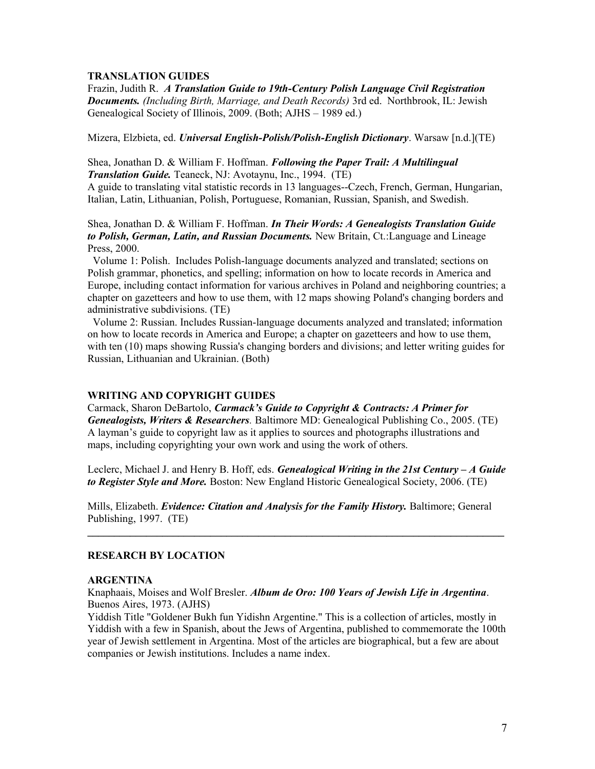#### **TRANSLATION GUIDES**

Frazin, Judith R. *A Translation Guide to 19th-Century Polish Language Civil Registration Documents. (Including Birth, Marriage, and Death Records)* 3rd ed. Northbrook, IL: Jewish Genealogical Society of Illinois, 2009. (Both; AJHS – 1989 ed.)

Mizera, Elzbieta, ed. *Universal English-Polish/Polish-English Dictionary*. Warsaw [n.d.](TE)

Shea, Jonathan D. & William F. Hoffman. *Following the Paper Trail: A Multilingual Translation Guide.* Teaneck, NJ: Avotaynu, Inc., 1994. (TE)

A guide to translating vital statistic records in 13 languages--Czech, French, German, Hungarian, Italian, Latin, Lithuanian, Polish, Portuguese, Romanian, Russian, Spanish, and Swedish.

Shea, Jonathan D. & William F. Hoffman. *In Their Words: A Genealogists Translation Guide to Polish, German, Latin, and Russian Documents.* New Britain, Ct.:Language and Lineage Press, 2000.

 Volume 1: Polish. Includes Polish-language documents analyzed and translated; sections on Polish grammar, phonetics, and spelling; information on how to locate records in America and Europe, including contact information for various archives in Poland and neighboring countries; a chapter on gazetteers and how to use them, with 12 maps showing Poland's changing borders and administrative subdivisions. (TE)

 Volume 2: Russian. Includes Russian-language documents analyzed and translated; information on how to locate records in America and Europe; a chapter on gazetteers and how to use them, with ten (10) maps showing Russia's changing borders and divisions; and letter writing guides for Russian, Lithuanian and Ukrainian. (Both)

## **WRITING AND COPYRIGHT GUIDES**

Carmack, Sharon DeBartolo, *Carmack's Guide to Copyright & Contracts: A Primer for Genealogists, Writers & Researchers.* Baltimore MD: Genealogical Publishing Co., 2005. (TE) A layman's guide to copyright law as it applies to sources and photographs illustrations and maps, including copyrighting your own work and using the work of others.

Leclerc, Michael J. and Henry B. Hoff, eds. *Genealogical Writing in the 21st Century – A Guide to Register Style and More.* Boston: New England Historic Genealogical Society, 2006. (TE)

Mills, Elizabeth. *Evidence: Citation and Analysis for the Family History.* Baltimore; General Publishing, 1997. (TE)

**\_\_\_\_\_\_\_\_\_\_\_\_\_\_\_\_\_\_\_\_\_\_\_\_\_\_\_\_\_\_\_\_\_\_\_\_\_\_\_\_\_\_\_\_\_\_\_\_\_\_\_\_\_\_\_\_\_\_\_\_\_\_\_\_\_\_\_\_\_\_\_\_\_\_\_\_\_\_**

## **RESEARCH BY LOCATION**

#### **ARGENTINA**

Knaphaais, Moises and Wolf Bresler. *Album de Oro: 100 Years of Jewish Life in Argentina*. Buenos Aires, 1973. (AJHS)

Yiddish Title "Goldener Bukh fun Yidishn Argentine." This is a collection of articles, mostly in Yiddish with a few in Spanish, about the Jews of Argentina, published to commemorate the 100th year of Jewish settlement in Argentina. Most of the articles are biographical, but a few are about companies or Jewish institutions. Includes a name index.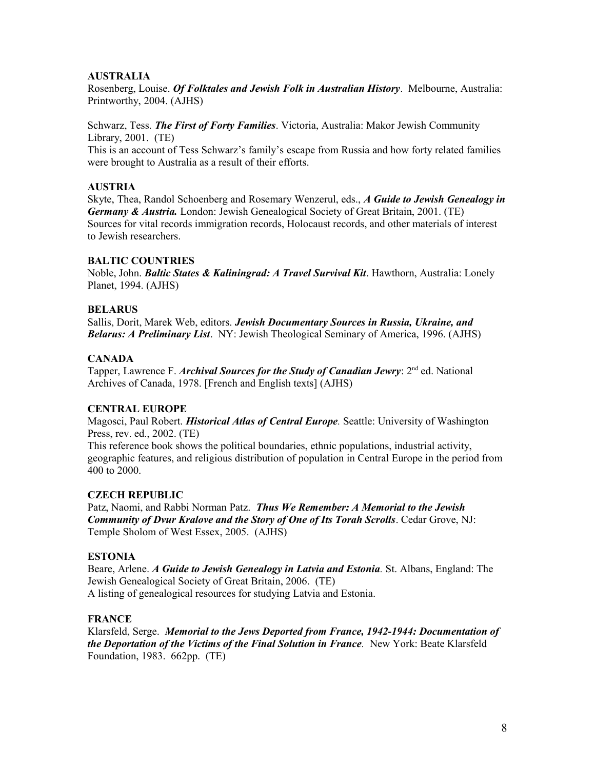## **AUSTRALIA**

Rosenberg, Louise. *Of Folktales and Jewish Folk in Australian History*. Melbourne, Australia: Printworthy, 2004. (AJHS)

Schwarz, Tess. *The First of Forty Families*. Victoria, Australia: Makor Jewish Community Library, 2001. (TE)

This is an account of Tess Schwarz's family's escape from Russia and how forty related families were brought to Australia as a result of their efforts.

## **AUSTRIA**

Skyte, Thea, Randol Schoenberg and Rosemary Wenzerul, eds., *A Guide to Jewish Genealogy in Germany & Austria.* London: Jewish Genealogical Society of Great Britain, 2001. (TE) Sources for vital records immigration records, Holocaust records, and other materials of interest to Jewish researchers.

## **BALTIC COUNTRIES**

Noble, John. *Baltic States & Kaliningrad: A Travel Survival Kit*. Hawthorn, Australia: Lonely Planet, 1994. (AJHS)

## **BELARUS**

Sallis, Dorit, Marek Web, editors. *Jewish Documentary Sources in Russia, Ukraine, and Belarus: A Preliminary List*. NY: Jewish Theological Seminary of America, 1996. (AJHS)

## **CANADA**

Tapper, Lawrence F. *Archival Sources for the Study of Canadian Jewry*: 2<sup>nd</sup> ed. National Archives of Canada, 1978. [French and English texts] (AJHS)

# **CENTRAL EUROPE**

Magosci, Paul Robert. *Historical Atlas of Central Europe.* Seattle: University of Washington Press, rev. ed., 2002. (TE)

This reference book shows the political boundaries, ethnic populations, industrial activity, geographic features, and religious distribution of population in Central Europe in the period from 400 to 2000.

## **CZECH REPUBLIC**

Patz, Naomi, and Rabbi Norman Patz. *Thus We Remember: A Memorial to the Jewish Community of Dvur Kralove and the Story of One of Its Torah Scrolls*. Cedar Grove, NJ: Temple Sholom of West Essex, 2005. (AJHS)

## **ESTONIA**

Beare, Arlene. *A Guide to Jewish Genealogy in Latvia and Estonia.* St. Albans, England: The Jewish Genealogical Society of Great Britain, 2006. (TE) A listing of genealogical resources for studying Latvia and Estonia.

## **FRANCE**

Klarsfeld, Serge. *Memorial to the Jews Deported from France, 1942-1944: Documentation of the Deportation of the Victims of the Final Solution in France.* New York: Beate Klarsfeld Foundation, 1983. 662pp. (TE)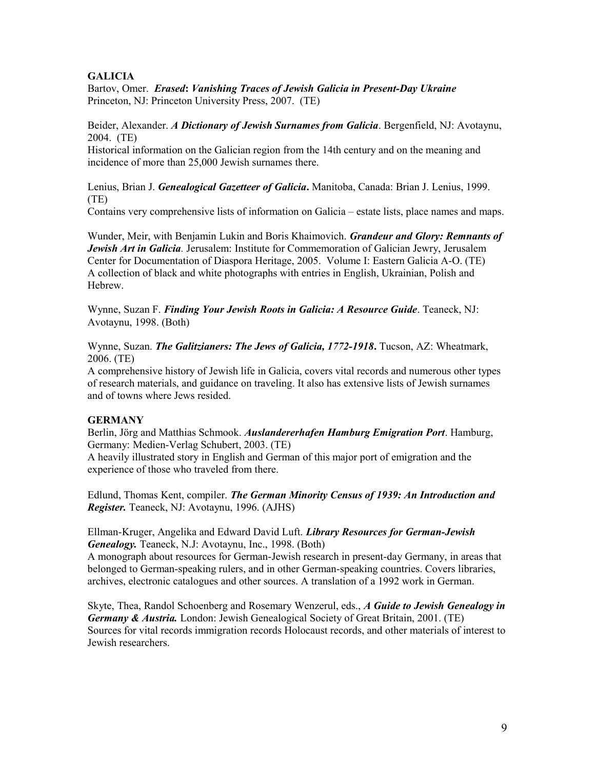# **GALICIA**

Bartov, Omer. *Erased***:** *Vanishing Traces of Jewish Galicia in Present-Day Ukraine* Princeton, NJ: Princeton University Press, 2007. (TE)

Beider, Alexander. *A Dictionary of Jewish Surnames from Galicia*. Bergenfield, NJ: Avotaynu, 2004. (TE)

Historical information on the Galician region from the 14th century and on the meaning and incidence of more than 25,000 Jewish surnames there.

Lenius, Brian J. *Genealogical Gazetteer of Galicia***.** Manitoba, Canada: Brian J. Lenius, 1999. (TE)

Contains very comprehensive lists of information on Galicia – estate lists, place names and maps.

Wunder, Meir, with Benjamin Lukin and Boris Khaimovich. *Grandeur and Glory: Remnants of Jewish Art in Galicia.* Jerusalem: Institute for Commemoration of Galician Jewry, Jerusalem Center for Documentation of Diaspora Heritage, 2005. Volume I: Eastern Galicia A-O. (TE) A collection of black and white photographs with entries in English, Ukrainian, Polish and Hebrew.

Wynne, Suzan F. *Finding Your Jewish Roots in Galicia: A Resource Guide*. Teaneck, NJ: Avotaynu, 1998. (Both)

Wynne, Suzan. *The Galitzianers: The Jews of Galicia, 1772-1918***.** Tucson, AZ: Wheatmark, 2006. (TE)

A comprehensive history of Jewish life in Galicia, covers vital records and numerous other types of research materials, and guidance on traveling. It also has extensive lists of Jewish surnames and of towns where Jews resided.

## **GERMANY**

Berlin, Jörg and Matthias Schmook. *Auslandererhafen Hamburg Emigration Port*. Hamburg, Germany: Medien-Verlag Schubert, 2003. (TE)

A heavily illustrated story in English and German of this major port of emigration and the experience of those who traveled from there.

Edlund, Thomas Kent, compiler. *The German Minority Census of 1939: An Introduction and Register.* Teaneck, NJ: Avotaynu, 1996. (AJHS)

Ellman-Kruger, Angelika and Edward David Luft. *Library Resources for German-Jewish Genealogy.* Teaneck, N.J: Avotaynu, Inc., 1998. (Both)

A monograph about resources for German-Jewish research in present-day Germany, in areas that belonged to German-speaking rulers, and in other German-speaking countries. Covers libraries, archives, electronic catalogues and other sources. A translation of a 1992 work in German.

Skyte, Thea, Randol Schoenberg and Rosemary Wenzerul, eds., *A Guide to Jewish Genealogy in Germany & Austria.* London: Jewish Genealogical Society of Great Britain, 2001. (TE) Sources for vital records immigration records Holocaust records, and other materials of interest to Jewish researchers.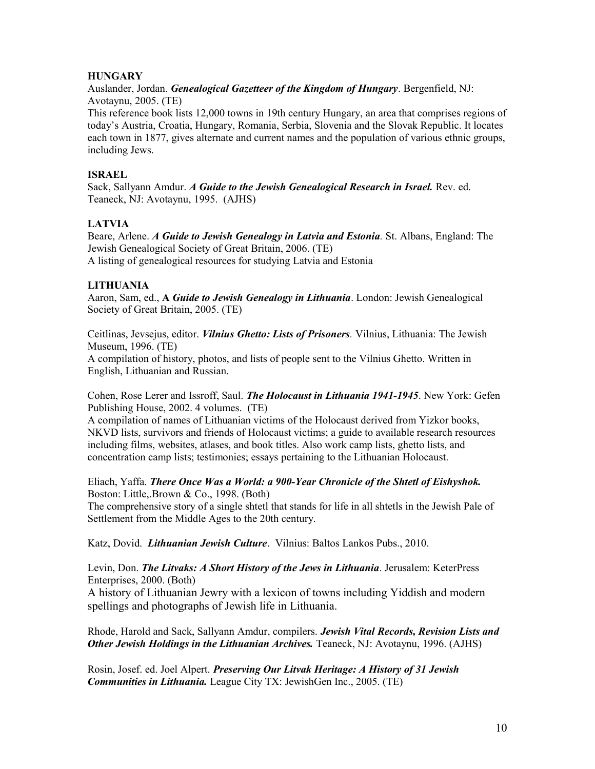## **HUNGARY**

Auslander, Jordan. *Genealogical Gazetteer of the Kingdom of Hungary*. Bergenfield, NJ: Avotaynu, 2005. (TE)

This reference book lists 12,000 towns in 19th century Hungary, an area that comprises regions of today's Austria, Croatia, Hungary, Romania, Serbia, Slovenia and the Slovak Republic. It locates each town in 1877, gives alternate and current names and the population of various ethnic groups, including Jews.

## **ISRAEL**

Sack, Sallyann Amdur. *A Guide to the Jewish Genealogical Research in Israel.* Rev. ed. Teaneck, NJ: Avotaynu, 1995. (AJHS)

# **LATVIA**

Beare, Arlene. *A Guide to Jewish Genealogy in Latvia and Estonia.* St. Albans, England: The Jewish Genealogical Society of Great Britain, 2006. (TE) A listing of genealogical resources for studying Latvia and Estonia

# **LITHUANIA**

Aaron, Sam, ed., **A** *Guide to Jewish Genealogy in Lithuania*. London: Jewish Genealogical Society of Great Britain, 2005. (TE)

Ceitlinas, Jevsejus, editor. *Vilnius Ghetto: Lists of Prisoners.* Vilnius, Lithuania: The Jewish Museum, 1996. (TE)

A compilation of history, photos, and lists of people sent to the Vilnius Ghetto. Written in English, Lithuanian and Russian.

Cohen, Rose Lerer and Issroff, Saul. *The Holocaust in Lithuania 1941-1945*. New York: Gefen Publishing House, 2002. 4 volumes. (TE)

A compilation of names of Lithuanian victims of the Holocaust derived from Yizkor books, NKVD lists, survivors and friends of Holocaust victims; a guide to available research resources including films, websites, atlases, and book titles. Also work camp lists, ghetto lists, and concentration camp lists; testimonies; essays pertaining to the Lithuanian Holocaust.

Eliach, Yaffa. *There Once Was a World: a 900-Year Chronicle of the Shtetl of Eishyshok.* Boston: Little,.Brown & Co., 1998. (Both)

The comprehensive story of a single shtetl that stands for life in all shtetls in the Jewish Pale of Settlement from the Middle Ages to the 20th century.

Katz, Dovid. *Lithuanian Jewish Culture*. Vilnius: Baltos Lankos Pubs., 2010.

Levin, Don. *The Litvaks: A Short History of the Jews in Lithuania*. Jerusalem: KeterPress Enterprises, 2000. (Both)

A history of Lithuanian Jewry with a lexicon of towns including Yiddish and modern spellings and photographs of Jewish life in Lithuania.

Rhode, Harold and Sack, Sallyann Amdur, compilers. *Jewish Vital Records, Revision Lists and Other Jewish Holdings in the Lithuanian Archives.* Teaneck, NJ: Avotaynu, 1996. (AJHS)

Rosin, Josef. ed. Joel Alpert. *Preserving Our Litvak Heritage: A History of 31 Jewish Communities in Lithuania.* League City TX: JewishGen Inc., 2005. (TE)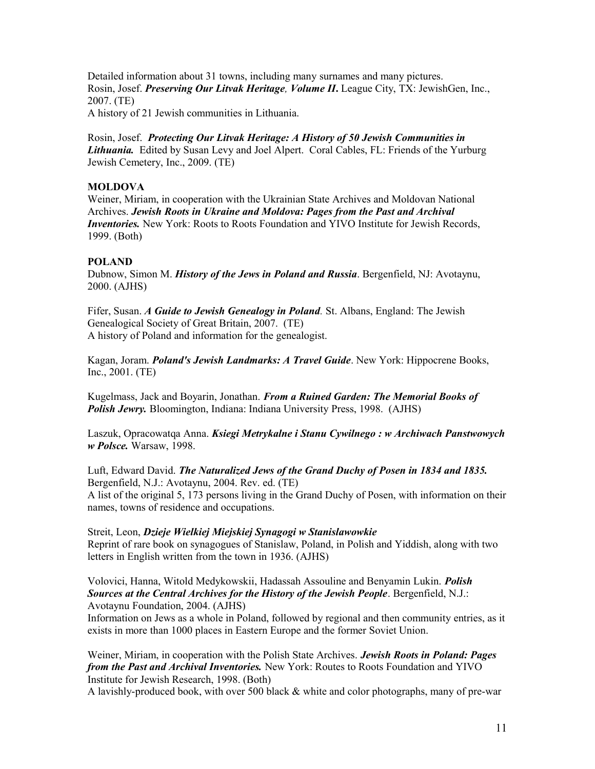Detailed information about 31 towns, including many surnames and many pictures. Rosin, Josef. *Preserving Our Litvak Heritage, Volume II***.** League City, TX: JewishGen, Inc., 2007. (TE)

A history of 21 Jewish communities in Lithuania.

Rosin, Josef. *Protecting Our Litvak Heritage: A History of 50 Jewish Communities in Lithuania.* Edited by Susan Levy and Joel Alpert. Coral Cables, FL: Friends of the Yurburg Jewish Cemetery, Inc., 2009. (TE)

## **MOLDOVA**

Weiner, Miriam, in cooperation with the Ukrainian State Archives and Moldovan National Archives. *Jewish Roots in Ukraine and Moldova: Pages from the Past and Archival Inventories.* New York: Roots to Roots Foundation and YIVO Institute for Jewish Records, 1999. (Both)

#### **POLAND**

Dubnow, Simon M. *History of the Jews in Poland and Russia*. Bergenfield, NJ: Avotaynu, 2000. (AJHS)

Fifer, Susan. *A Guide to Jewish Genealogy in Poland.* St. Albans, England: The Jewish Genealogical Society of Great Britain, 2007. (TE) A history of Poland and information for the genealogist.

Kagan, Joram. *Poland's Jewish Landmarks: A Travel Guide*. New York: Hippocrene Books, Inc., 2001. (TE)

Kugelmass, Jack and Boyarin, Jonathan. *From a Ruined Garden: The Memorial Books of Polish Jewry.* Bloomington, Indiana: Indiana University Press, 1998. (AJHS)

Laszuk, Opracowatqa Anna. *Ksiegi Metrykalne i Stanu Cywilnego : w Archiwach Panstwowych w Polsce.* Warsaw, 1998.

Luft, Edward David. *The Naturalized Jews of the Grand Duchy of Posen in 1834 and 1835.* Bergenfield, N.J.: Avotaynu, 2004. Rev. ed. (TE) A list of the original 5, 173 persons living in the Grand Duchy of Posen, with information on their names, towns of residence and occupations.

Streit, Leon, *Dzieje Wielkiej Miejskiej Synagogi w Stanislawowkie* Reprint of rare book on synagogues of Stanislaw, Poland, in Polish and Yiddish, along with two letters in English written from the town in 1936. (AJHS)

## Volovici, Hanna, Witold Medykowskii, Hadassah Assouline and Benyamin Lukin. *Polish Sources at the Central Archives for the History of the Jewish People*. Bergenfield, N.J.: Avotaynu Foundation, 2004. (AJHS)

Information on Jews as a whole in Poland, followed by regional and then community entries, as it exists in more than 1000 places in Eastern Europe and the former Soviet Union.

Weiner, Miriam, in cooperation with the Polish State Archives. *Jewish Roots in Poland: Pages from the Past and Archival Inventories.* New York: Routes to Roots Foundation and YIVO Institute for Jewish Research, 1998. (Both)

A lavishly-produced book, with over 500 black & white and color photographs, many of pre-war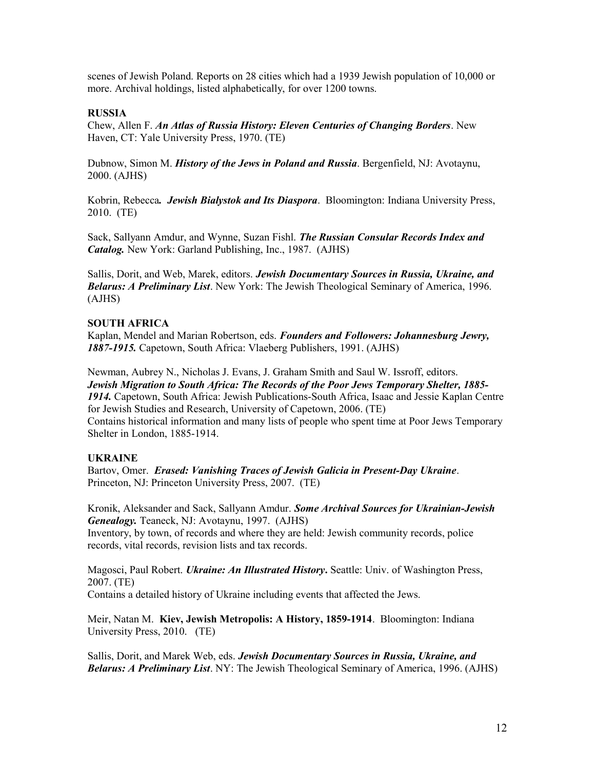scenes of Jewish Poland. Reports on 28 cities which had a 1939 Jewish population of 10,000 or more. Archival holdings, listed alphabetically, for over 1200 towns.

#### **RUSSIA**

Chew, Allen F. *An Atlas of Russia History: Eleven Centuries of Changing Borders*. New Haven, CT: Yale University Press, 1970. (TE)

Dubnow, Simon M. *History of the Jews in Poland and Russia*. Bergenfield, NJ: Avotaynu, 2000. (AJHS)

Kobrin, Rebecca*. Jewish Bialystok and Its Diaspora*. Bloomington: Indiana University Press, 2010. (TE)

Sack, Sallyann Amdur, and Wynne, Suzan Fishl. *The Russian Consular Records Index and Catalog.* New York: Garland Publishing, Inc., 1987. (AJHS)

Sallis, Dorit, and Web, Marek, editors. *Jewish Documentary Sources in Russia, Ukraine, and Belarus: A Preliminary List*. New York: The Jewish Theological Seminary of America, 1996. (AJHS)

#### **SOUTH AFRICA**

Kaplan, Mendel and Marian Robertson, eds. *Founders and Followers: Johannesburg Jewry, 1887-1915.* Capetown, South Africa: Vlaeberg Publishers, 1991. (AJHS)

Newman, Aubrey N., Nicholas J. Evans, J. Graham Smith and Saul W. Issroff, editors. *Jewish Migration to South Africa: The Records of the Poor Jews Temporary Shelter, 1885- 1914.* Capetown, South Africa: Jewish Publications-South Africa, Isaac and Jessie Kaplan Centre for Jewish Studies and Research, University of Capetown, 2006. (TE) Contains historical information and many lists of people who spent time at Poor Jews Temporary Shelter in London, 1885-1914.

#### **UKRAINE**

Bartov, Omer. *Erased: Vanishing Traces of Jewish Galicia in Present-Day Ukraine*. Princeton, NJ: Princeton University Press, 2007. (TE)

Kronik, Aleksander and Sack, Sallyann Amdur. *Some Archival Sources for Ukrainian-Jewish Genealogy.* Teaneck, NJ: Avotaynu, 1997. (AJHS)

Inventory, by town, of records and where they are held: Jewish community records, police records, vital records, revision lists and tax records.

Magosci, Paul Robert. *Ukraine: An Illustrated History***.** Seattle: Univ. of Washington Press, 2007. (TE)

Contains a detailed history of Ukraine including events that affected the Jews.

Meir, Natan M. **Kiev, Jewish Metropolis: A History, 1859-1914**. Bloomington: Indiana University Press, 2010. (TE)

Sallis, Dorit, and Marek Web, eds. *Jewish Documentary Sources in Russia, Ukraine, and Belarus: A Preliminary List*. NY: The Jewish Theological Seminary of America, 1996. (AJHS)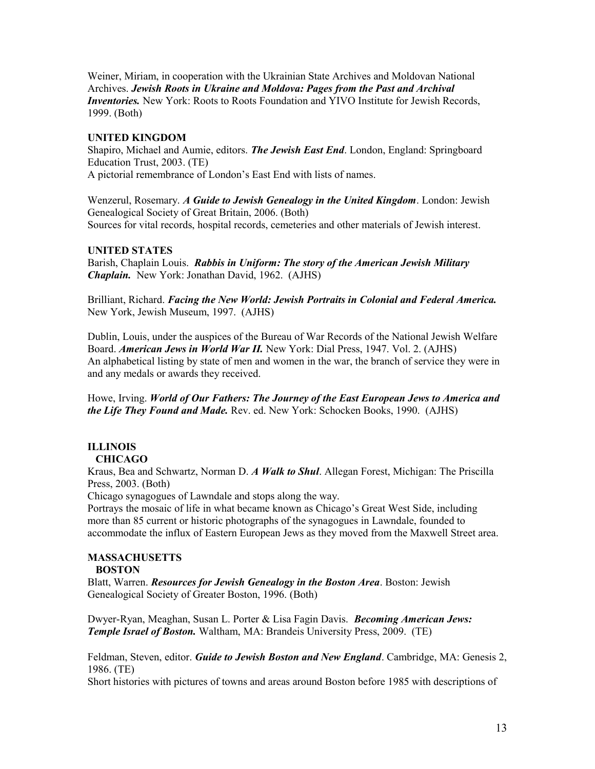Weiner, Miriam, in cooperation with the Ukrainian State Archives and Moldovan National Archives. *Jewish Roots in Ukraine and Moldova: Pages from the Past and Archival Inventories.* New York: Roots to Roots Foundation and YIVO Institute for Jewish Records, 1999. (Both)

#### **UNITED KINGDOM**

Shapiro, Michael and Aumie, editors. *The Jewish East End*. London, England: Springboard Education Trust, 2003. (TE) A pictorial remembrance of London's East End with lists of names.

Wenzerul, Rosemary. *A Guide to Jewish Genealogy in the United Kingdom*. London: Jewish Genealogical Society of Great Britain, 2006. (Both) Sources for vital records, hospital records, cemeteries and other materials of Jewish interest.

## **UNITED STATES**

Barish, Chaplain Louis.*Rabbis in Uniform: The story of the American Jewish Military Chaplain.* New York: Jonathan David, 1962. (AJHS)

Brilliant, Richard. *Facing the New World: Jewish Portraits in Colonial and Federal America.* New York, Jewish Museum, 1997. (AJHS)

Dublin, Louis, under the auspices of the Bureau of War Records of the National Jewish Welfare Board. *American Jews in World War II.* New York: Dial Press, 1947. Vol. 2. (AJHS) An alphabetical listing by state of men and women in the war, the branch of service they were in and any medals or awards they received.

Howe, Irving. *World of Our Fathers: The Journey of the East European Jews to America and the Life They Found and Made.* Rev. ed. New York: Schocken Books, 1990. (AJHS)

# **ILLINOIS**

# **CHICAGO**

Kraus, Bea and Schwartz, Norman D. *A Walk to Shul*. Allegan Forest, Michigan: The Priscilla Press, 2003. (Both)

Chicago synagogues of Lawndale and stops along the way.

Portrays the mosaic of life in what became known as Chicago's Great West Side, including more than 85 current or historic photographs of the synagogues in Lawndale, founded to accommodate the influx of Eastern European Jews as they moved from the Maxwell Street area.

#### **MASSACHUSETTS BOSTON**

Blatt, Warren. *Resources for Jewish Genealogy in the Boston Area*. Boston: Jewish Genealogical Society of Greater Boston, 1996. (Both)

Dwyer-Ryan, Meaghan, Susan L. Porter & Lisa Fagin Davis. *Becoming American Jews: Temple Israel of Boston.* Waltham, MA: Brandeis University Press, 2009. (TE)

Feldman, Steven, editor. *Guide to Jewish Boston and New England*. Cambridge, MA: Genesis 2, 1986. (TE)

Short histories with pictures of towns and areas around Boston before 1985 with descriptions of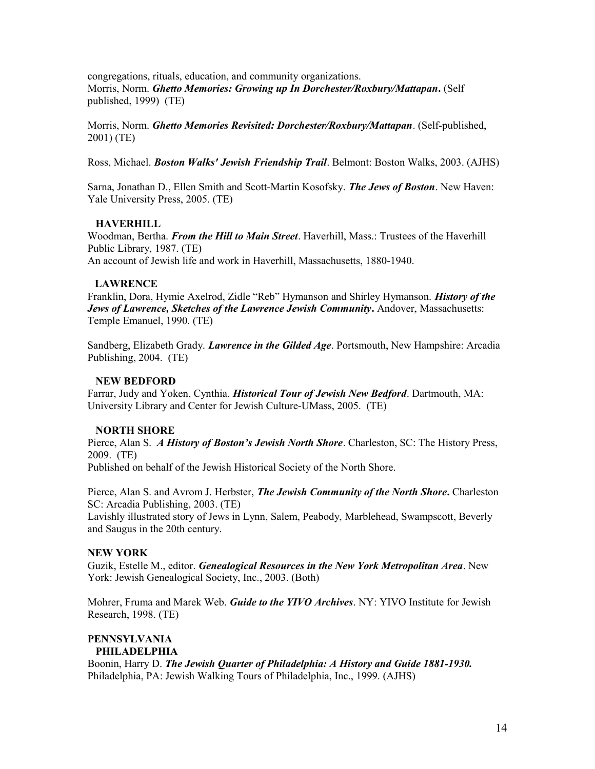congregations, rituals, education, and community organizations. Morris, Norm. *Ghetto Memories: Growing up In Dorchester/Roxbury/Mattapan***.** (Self published, 1999) (TE)

Morris, Norm. *Ghetto Memories Revisited: Dorchester/Roxbury/Mattapan*. (Self-published, 2001) (TE)

Ross, Michael. *Boston Walks' Jewish Friendship Trail*. Belmont: Boston Walks, 2003. (AJHS)

Sarna, Jonathan D., Ellen Smith and Scott-Martin Kosofsky. *The Jews of Boston*. New Haven: Yale University Press, 2005. (TE)

## **HAVERHILL**

Woodman, Bertha. *From the Hill to Main Street*. Haverhill, Mass.: Trustees of the Haverhill Public Library, 1987. (TE) An account of Jewish life and work in Haverhill, Massachusetts, 1880-1940.

#### **LAWRENCE**

Franklin, Dora, Hymie Axelrod, Zidle "Reb" Hymanson and Shirley Hymanson. *History of the Jews of Lawrence, Sketches of the Lawrence Jewish Community***.** Andover, Massachusetts: Temple Emanuel, 1990. (TE)

Sandberg, Elizabeth Grady. *Lawrence in the Gilded Age*. Portsmouth, New Hampshire: Arcadia Publishing, 2004. (TE)

## **NEW BEDFORD**

Farrar, Judy and Yoken, Cynthia. *Historical Tour of Jewish New Bedford*. Dartmouth, MA: University Library and Center for Jewish Culture-UMass, 2005. (TE)

## **NORTH SHORE**

Pierce, Alan S. *A History of Boston's Jewish North Shore*. Charleston, SC: The History Press, 2009. (TE)

Published on behalf of the Jewish Historical Society of the North Shore.

Pierce, Alan S. and Avrom J. Herbster, *The Jewish Community of the North Shore***.** Charleston SC: Arcadia Publishing, 2003. (TE)

Lavishly illustrated story of Jews in Lynn, Salem, Peabody, Marblehead, Swampscott, Beverly and Saugus in the 20th century.

## **NEW YORK**

Guzik, Estelle M., editor. *Genealogical Resources in the New York Metropolitan Area*. New York: Jewish Genealogical Society, Inc., 2003. (Both)

Mohrer, Fruma and Marek Web. *Guide to the YIVO Archives*. NY: YIVO Institute for Jewish Research, 1998. (TE)

#### **PENNSYLVANIA PHILADELPHIA**

Boonin, Harry D. *The Jewish Quarter of Philadelphia: A History and Guide 1881-1930.* Philadelphia, PA: Jewish Walking Tours of Philadelphia, Inc., 1999. (AJHS)